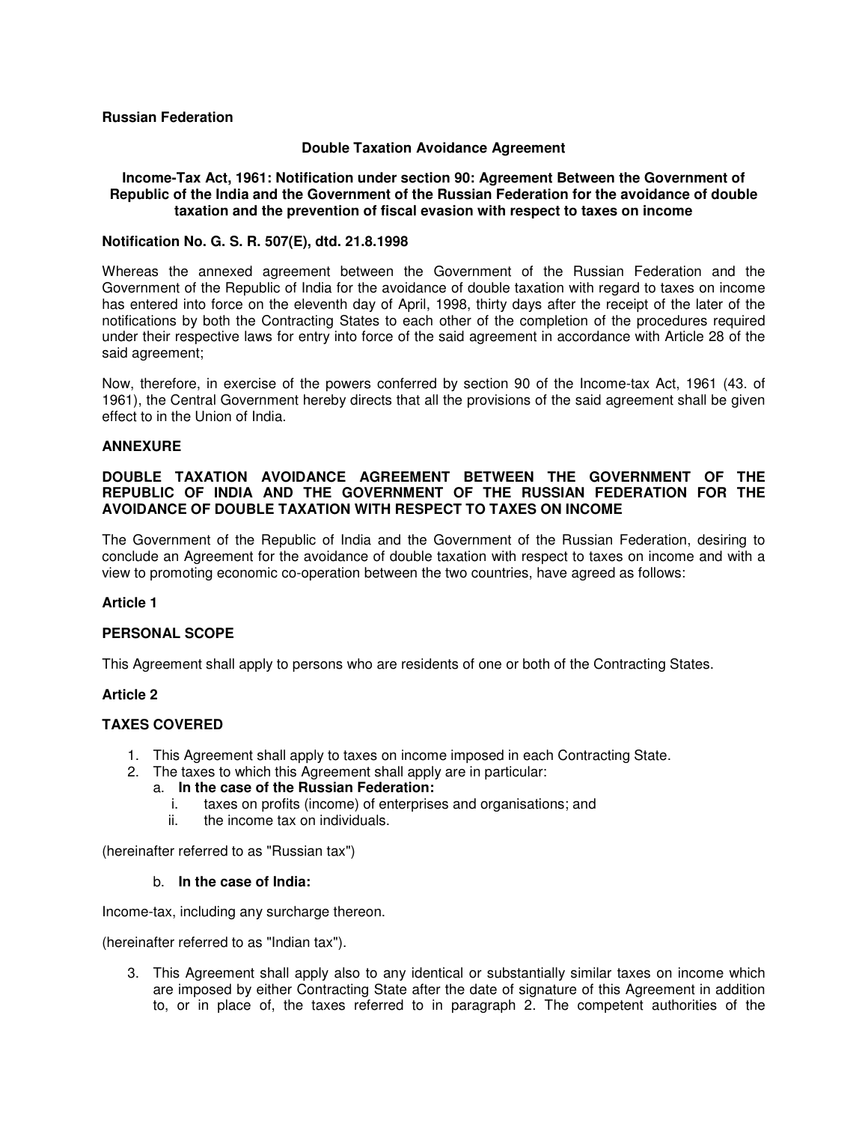### **Russian Federation**

### **Double Taxation Avoidance Agreement**

### **Income-Tax Act, 1961: Notification under section 90: Agreement Between the Government of Republic of the India and the Government of the Russian Federation for the avoidance of double taxation and the prevention of fiscal evasion with respect to taxes on income**

### **Notification No. G. S. R. 507(E), dtd. 21.8.1998**

Whereas the annexed agreement between the Government of the Russian Federation and the Government of the Republic of India for the avoidance of double taxation with regard to taxes on income has entered into force on the eleventh day of April, 1998, thirty days after the receipt of the later of the notifications by both the Contracting States to each other of the completion of the procedures required under their respective laws for entry into force of the said agreement in accordance with Article 28 of the said agreement;

Now, therefore, in exercise of the powers conferred by section 90 of the Income-tax Act, 1961 (43. of 1961), the Central Government hereby directs that all the provisions of the said agreement shall be given effect to in the Union of India.

#### **ANNEXURE**

### **DOUBLE TAXATION AVOIDANCE AGREEMENT BETWEEN THE GOVERNMENT OF THE REPUBLIC OF INDIA AND THE GOVERNMENT OF THE RUSSIAN FEDERATION FOR THE AVOIDANCE OF DOUBLE TAXATION WITH RESPECT TO TAXES ON INCOME**

The Government of the Republic of India and the Government of the Russian Federation, desiring to conclude an Agreement for the avoidance of double taxation with respect to taxes on income and with a view to promoting economic co-operation between the two countries, have agreed as follows:

### **Article 1**

### **PERSONAL SCOPE**

This Agreement shall apply to persons who are residents of one or both of the Contracting States.

### **Article 2**

### **TAXES COVERED**

- 1. This Agreement shall apply to taxes on income imposed in each Contracting State.
- 2. The taxes to which this Agreement shall apply are in particular:

#### a. **In the case of the Russian Federation:**

- i. taxes on profits (income) of enterprises and organisations; and
- ii. the income tax on individuals.

(hereinafter referred to as "Russian tax")

#### b. **In the case of India:**

Income-tax, including any surcharge thereon.

(hereinafter referred to as "Indian tax").

3. This Agreement shall apply also to any identical or substantially similar taxes on income which are imposed by either Contracting State after the date of signature of this Agreement in addition to, or in place of, the taxes referred to in paragraph 2. The competent authorities of the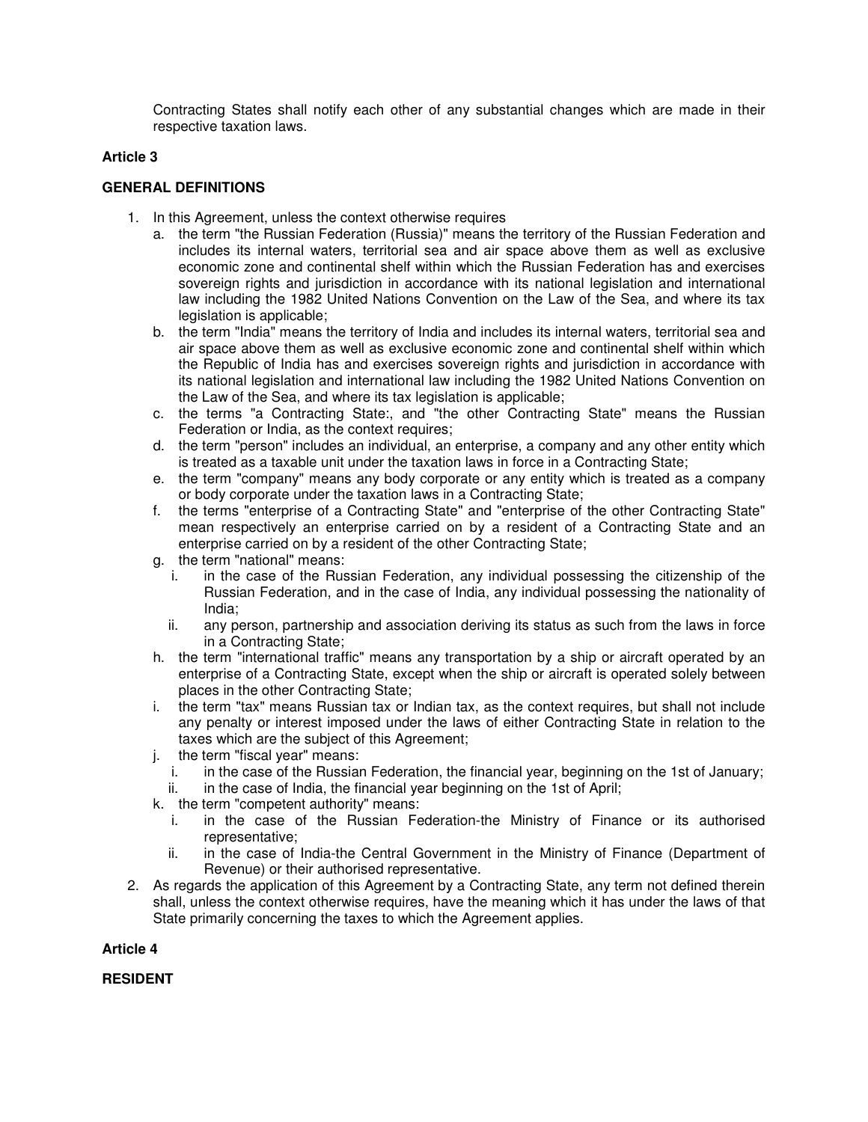Contracting States shall notify each other of any substantial changes which are made in their respective taxation laws.

### **Article 3**

### **GENERAL DEFINITIONS**

- 1. In this Agreement, unless the context otherwise requires
	- a. the term "the Russian Federation (Russia)" means the territory of the Russian Federation and includes its internal waters, territorial sea and air space above them as well as exclusive economic zone and continental shelf within which the Russian Federation has and exercises sovereign rights and jurisdiction in accordance with its national legislation and international law including the 1982 United Nations Convention on the Law of the Sea, and where its tax legislation is applicable;
	- b. the term "India" means the territory of India and includes its internal waters, territorial sea and air space above them as well as exclusive economic zone and continental shelf within which the Republic of India has and exercises sovereign rights and jurisdiction in accordance with its national legislation and international law including the 1982 United Nations Convention on the Law of the Sea, and where its tax legislation is applicable;
	- c. the terms "a Contracting State:, and "the other Contracting State" means the Russian Federation or India, as the context requires;
	- d. the term "person" includes an individual, an enterprise, a company and any other entity which is treated as a taxable unit under the taxation laws in force in a Contracting State;
	- e. the term "company" means any body corporate or any entity which is treated as a company or body corporate under the taxation laws in a Contracting State;
	- f. the terms "enterprise of a Contracting State" and "enterprise of the other Contracting State" mean respectively an enterprise carried on by a resident of a Contracting State and an enterprise carried on by a resident of the other Contracting State;
	- g. the term "national" means:
		- i. in the case of the Russian Federation, any individual possessing the citizenship of the Russian Federation, and in the case of India, any individual possessing the nationality of India;
		- ii. any person, partnership and association deriving its status as such from the laws in force in a Contracting State;
	- h. the term "international traffic" means any transportation by a ship or aircraft operated by an enterprise of a Contracting State, except when the ship or aircraft is operated solely between places in the other Contracting State;
	- i. the term "tax" means Russian tax or Indian tax, as the context requires, but shall not include any penalty or interest imposed under the laws of either Contracting State in relation to the taxes which are the subject of this Agreement;
	- j. the term "fiscal year" means:
		- i. in the case of the Russian Federation, the financial year, beginning on the 1st of January;
		- ii. in the case of India, the financial year beginning on the 1st of April;
	- k. the term "competent authority" means:
		- i. in the case of the Russian Federation-the Ministry of Finance or its authorised representative;
		- ii. in the case of India-the Central Government in the Ministry of Finance (Department of Revenue) or their authorised representative.
- 2. As regards the application of this Agreement by a Contracting State, any term not defined therein shall, unless the context otherwise requires, have the meaning which it has under the laws of that State primarily concerning the taxes to which the Agreement applies.

### **Article 4**

**RESIDENT**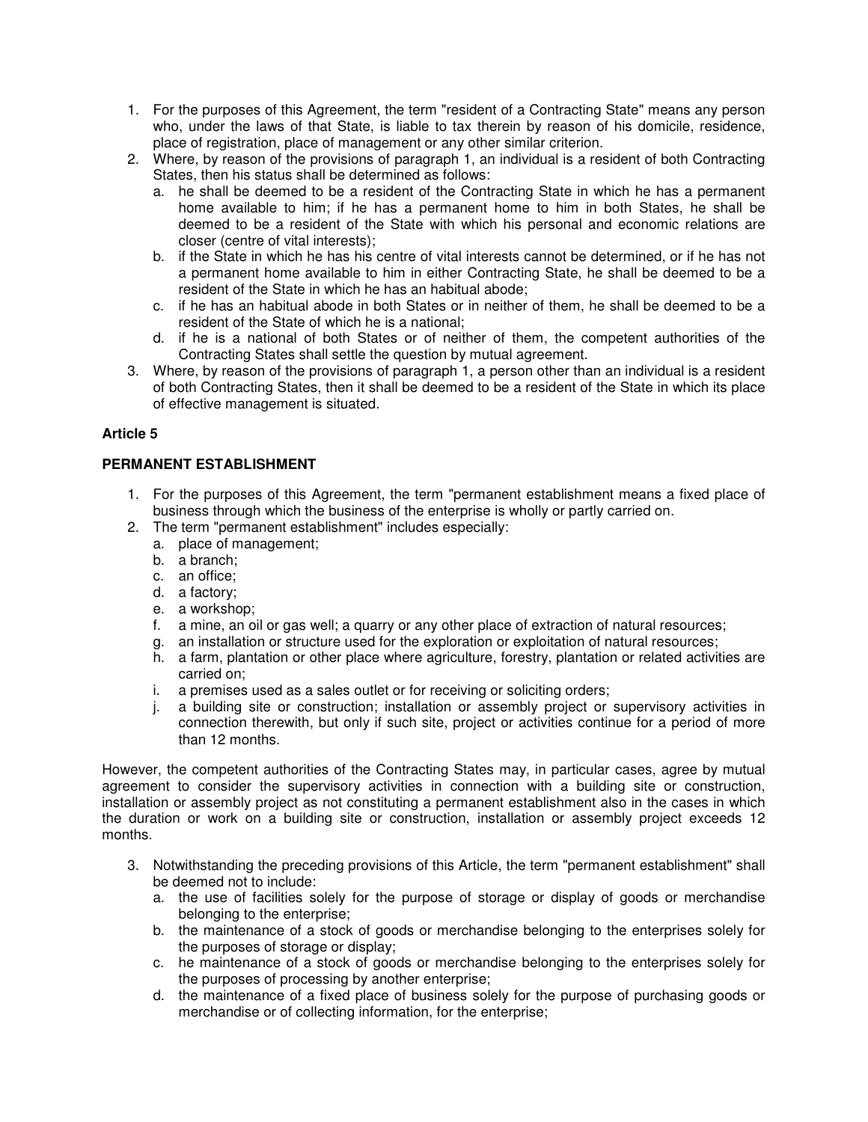- 1. For the purposes of this Agreement, the term "resident of a Contracting State" means any person who, under the laws of that State, is liable to tax therein by reason of his domicile, residence, place of registration, place of management or any other similar criterion.
- 2. Where, by reason of the provisions of paragraph 1, an individual is a resident of both Contracting States, then his status shall be determined as follows:
	- a. he shall be deemed to be a resident of the Contracting State in which he has a permanent home available to him; if he has a permanent home to him in both States, he shall be deemed to be a resident of the State with which his personal and economic relations are closer (centre of vital interests);
	- b. if the State in which he has his centre of vital interests cannot be determined, or if he has not a permanent home available to him in either Contracting State, he shall be deemed to be a resident of the State in which he has an habitual abode;
	- c. if he has an habitual abode in both States or in neither of them, he shall be deemed to be a resident of the State of which he is a national;
	- d. if he is a national of both States or of neither of them, the competent authorities of the Contracting States shall settle the question by mutual agreement.
- 3. Where, by reason of the provisions of paragraph 1, a person other than an individual is a resident of both Contracting States, then it shall be deemed to be a resident of the State in which its place of effective management is situated.

# **PERMANENT ESTABLISHMENT**

- 1. For the purposes of this Agreement, the term "permanent establishment means a fixed place of business through which the business of the enterprise is wholly or partly carried on.
- 2. The term "permanent establishment" includes especially:
	- a. place of management;
	- b. a branch;
	- c. an office;
	- d. a factory;
	- e. a workshop;
	- f. a mine, an oil or gas well; a quarry or any other place of extraction of natural resources;
	- g. an installation or structure used for the exploration or exploitation of natural resources;
	- h. a farm, plantation or other place where agriculture, forestry, plantation or related activities are carried on;
	- i. a premises used as a sales outlet or for receiving or soliciting orders;
	- j. a building site or construction; installation or assembly project or supervisory activities in connection therewith, but only if such site, project or activities continue for a period of more than 12 months.

However, the competent authorities of the Contracting States may, in particular cases, agree by mutual agreement to consider the supervisory activities in connection with a building site or construction, installation or assembly project as not constituting a permanent establishment also in the cases in which the duration or work on a building site or construction, installation or assembly project exceeds 12 months.

- 3. Notwithstanding the preceding provisions of this Article, the term "permanent establishment" shall be deemed not to include:
	- a. the use of facilities solely for the purpose of storage or display of goods or merchandise belonging to the enterprise;
	- b. the maintenance of a stock of goods or merchandise belonging to the enterprises solely for the purposes of storage or display;
	- c. he maintenance of a stock of goods or merchandise belonging to the enterprises solely for the purposes of processing by another enterprise;
	- d. the maintenance of a fixed place of business solely for the purpose of purchasing goods or merchandise or of collecting information, for the enterprise;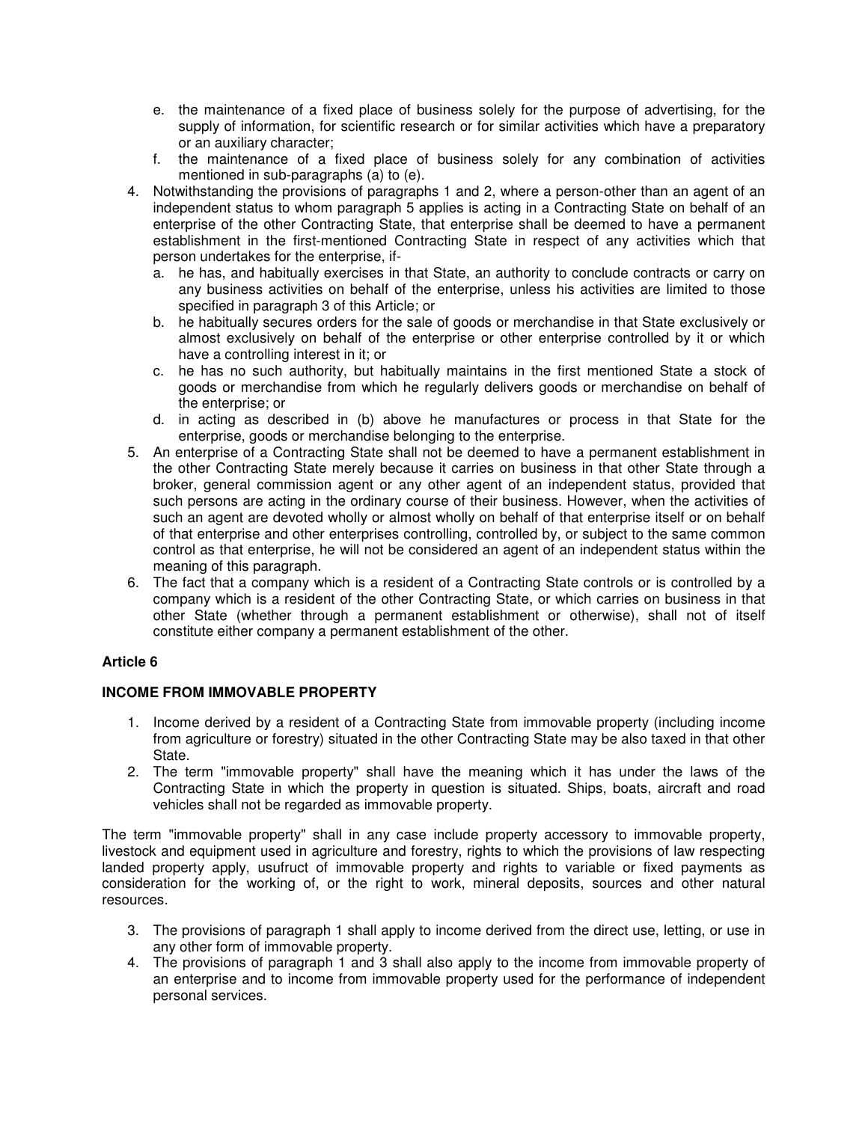- e. the maintenance of a fixed place of business solely for the purpose of advertising, for the supply of information, for scientific research or for similar activities which have a preparatory or an auxiliary character;
- f. the maintenance of a fixed place of business solely for any combination of activities mentioned in sub-paragraphs (a) to (e).
- 4. Notwithstanding the provisions of paragraphs 1 and 2, where a person-other than an agent of an independent status to whom paragraph 5 applies is acting in a Contracting State on behalf of an enterprise of the other Contracting State, that enterprise shall be deemed to have a permanent establishment in the first-mentioned Contracting State in respect of any activities which that person undertakes for the enterprise, if
	- a. he has, and habitually exercises in that State, an authority to conclude contracts or carry on any business activities on behalf of the enterprise, unless his activities are limited to those specified in paragraph 3 of this Article; or
	- b. he habitually secures orders for the sale of goods or merchandise in that State exclusively or almost exclusively on behalf of the enterprise or other enterprise controlled by it or which have a controlling interest in it; or
	- c. he has no such authority, but habitually maintains in the first mentioned State a stock of goods or merchandise from which he regularly delivers goods or merchandise on behalf of the enterprise; or
	- d. in acting as described in (b) above he manufactures or process in that State for the enterprise, goods or merchandise belonging to the enterprise.
- 5. An enterprise of a Contracting State shall not be deemed to have a permanent establishment in the other Contracting State merely because it carries on business in that other State through a broker, general commission agent or any other agent of an independent status, provided that such persons are acting in the ordinary course of their business. However, when the activities of such an agent are devoted wholly or almost wholly on behalf of that enterprise itself or on behalf of that enterprise and other enterprises controlling, controlled by, or subject to the same common control as that enterprise, he will not be considered an agent of an independent status within the meaning of this paragraph.
- 6. The fact that a company which is a resident of a Contracting State controls or is controlled by a company which is a resident of the other Contracting State, or which carries on business in that other State (whether through a permanent establishment or otherwise), shall not of itself constitute either company a permanent establishment of the other.

# **INCOME FROM IMMOVABLE PROPERTY**

- 1. Income derived by a resident of a Contracting State from immovable property (including income from agriculture or forestry) situated in the other Contracting State may be also taxed in that other State.
- 2. The term "immovable property" shall have the meaning which it has under the laws of the Contracting State in which the property in question is situated. Ships, boats, aircraft and road vehicles shall not be regarded as immovable property.

The term "immovable property" shall in any case include property accessory to immovable property, livestock and equipment used in agriculture and forestry, rights to which the provisions of law respecting landed property apply, usufruct of immovable property and rights to variable or fixed payments as consideration for the working of, or the right to work, mineral deposits, sources and other natural resources.

- 3. The provisions of paragraph 1 shall apply to income derived from the direct use, letting, or use in any other form of immovable property.
- 4. The provisions of paragraph 1 and 3 shall also apply to the income from immovable property of an enterprise and to income from immovable property used for the performance of independent personal services.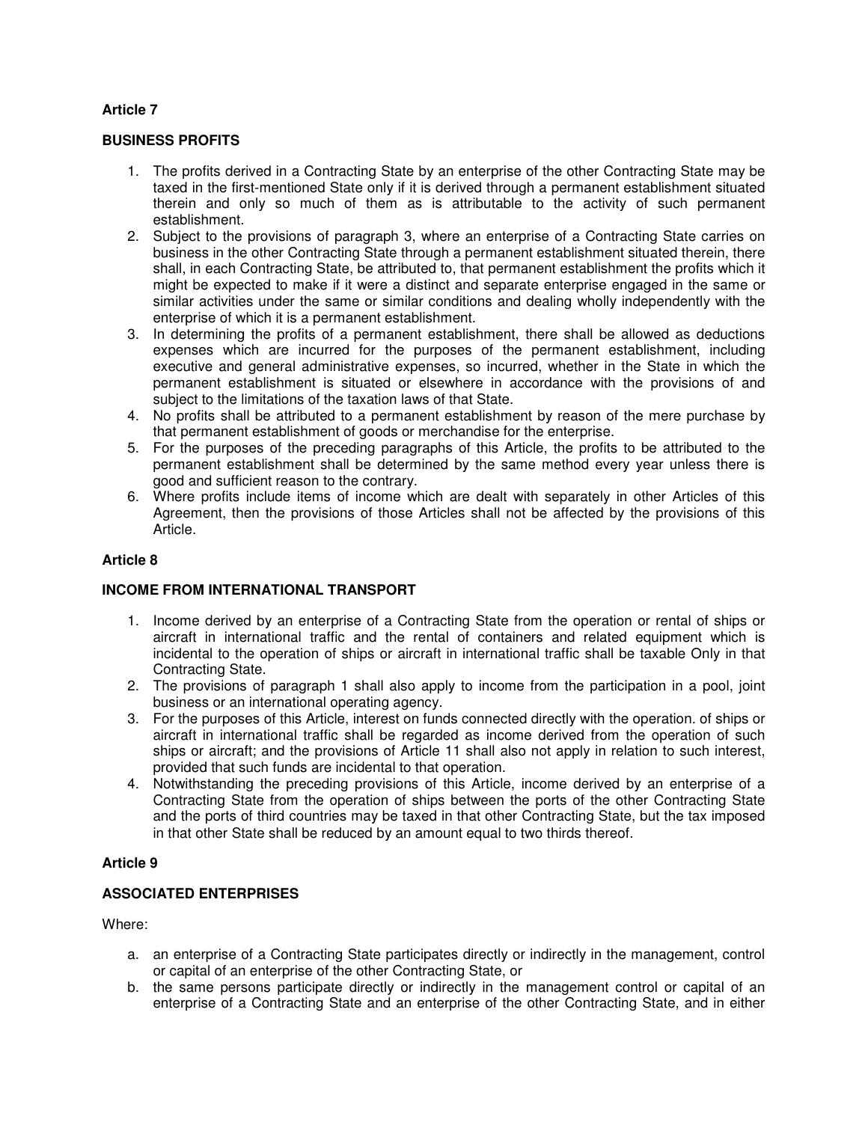### **BUSINESS PROFITS**

- 1. The profits derived in a Contracting State by an enterprise of the other Contracting State may be taxed in the first-mentioned State only if it is derived through a permanent establishment situated therein and only so much of them as is attributable to the activity of such permanent establishment.
- 2. Subject to the provisions of paragraph 3, where an enterprise of a Contracting State carries on business in the other Contracting State through a permanent establishment situated therein, there shall, in each Contracting State, be attributed to, that permanent establishment the profits which it might be expected to make if it were a distinct and separate enterprise engaged in the same or similar activities under the same or similar conditions and dealing wholly independently with the enterprise of which it is a permanent establishment.
- 3. In determining the profits of a permanent establishment, there shall be allowed as deductions expenses which are incurred for the purposes of the permanent establishment, including executive and general administrative expenses, so incurred, whether in the State in which the permanent establishment is situated or elsewhere in accordance with the provisions of and subject to the limitations of the taxation laws of that State.
- 4. No profits shall be attributed to a permanent establishment by reason of the mere purchase by that permanent establishment of goods or merchandise for the enterprise.
- 5. For the purposes of the preceding paragraphs of this Article, the profits to be attributed to the permanent establishment shall be determined by the same method every year unless there is good and sufficient reason to the contrary.
- 6. Where profits include items of income which are dealt with separately in other Articles of this Agreement, then the provisions of those Articles shall not be affected by the provisions of this Article.

### **Article 8**

# **INCOME FROM INTERNATIONAL TRANSPORT**

- 1. Income derived by an enterprise of a Contracting State from the operation or rental of ships or aircraft in international traffic and the rental of containers and related equipment which is incidental to the operation of ships or aircraft in international traffic shall be taxable Only in that Contracting State.
- 2. The provisions of paragraph 1 shall also apply to income from the participation in a pool, joint business or an international operating agency.
- 3. For the purposes of this Article, interest on funds connected directly with the operation. of ships or aircraft in international traffic shall be regarded as income derived from the operation of such ships or aircraft; and the provisions of Article 11 shall also not apply in relation to such interest, provided that such funds are incidental to that operation.
- 4. Notwithstanding the preceding provisions of this Article, income derived by an enterprise of a Contracting State from the operation of ships between the ports of the other Contracting State and the ports of third countries may be taxed in that other Contracting State, but the tax imposed in that other State shall be reduced by an amount equal to two thirds thereof.

### **Article 9**

### **ASSOCIATED ENTERPRISES**

Where:

- a. an enterprise of a Contracting State participates directly or indirectly in the management, control or capital of an enterprise of the other Contracting State, or
- b. the same persons participate directly or indirectly in the management control or capital of an enterprise of a Contracting State and an enterprise of the other Contracting State, and in either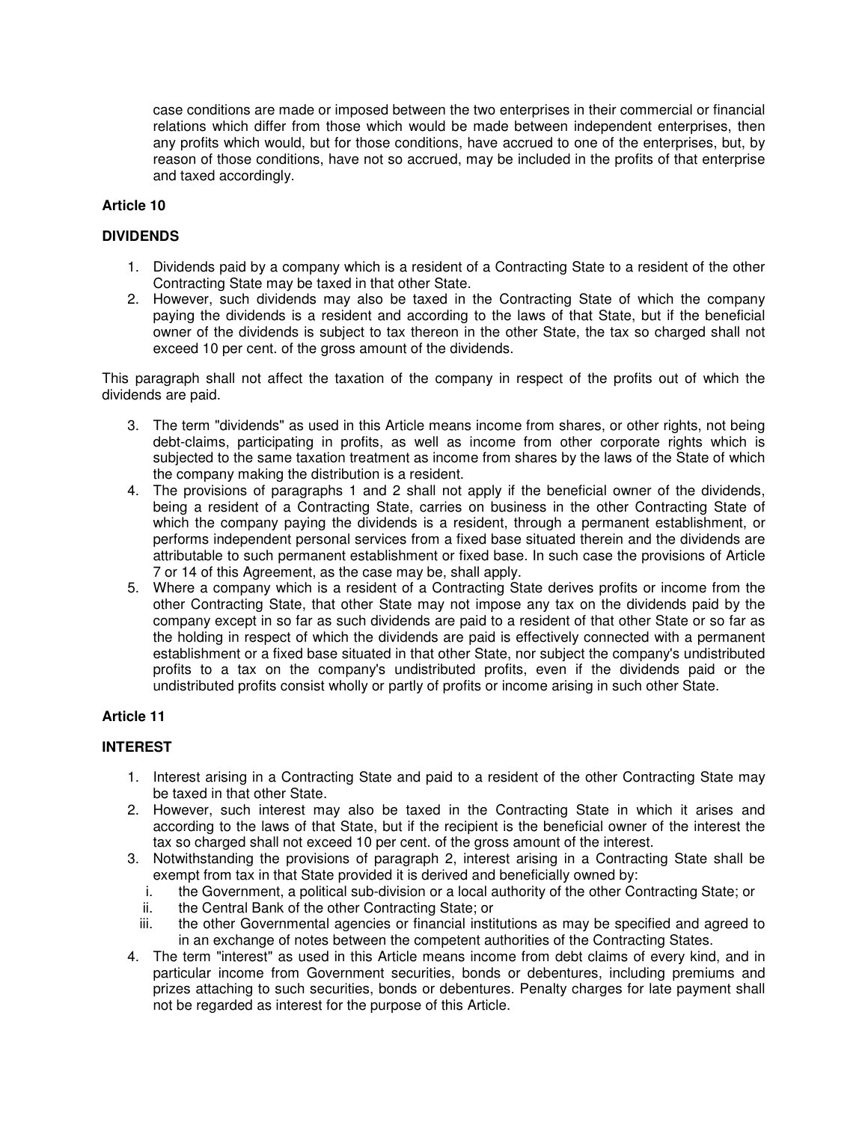case conditions are made or imposed between the two enterprises in their commercial or financial relations which differ from those which would be made between independent enterprises, then any profits which would, but for those conditions, have accrued to one of the enterprises, but, by reason of those conditions, have not so accrued, may be included in the profits of that enterprise and taxed accordingly.

# **Article 10**

# **DIVIDENDS**

- 1. Dividends paid by a company which is a resident of a Contracting State to a resident of the other Contracting State may be taxed in that other State.
- 2. However, such dividends may also be taxed in the Contracting State of which the company paying the dividends is a resident and according to the laws of that State, but if the beneficial owner of the dividends is subject to tax thereon in the other State, the tax so charged shall not exceed 10 per cent. of the gross amount of the dividends.

This paragraph shall not affect the taxation of the company in respect of the profits out of which the dividends are paid.

- 3. The term "dividends" as used in this Article means income from shares, or other rights, not being debt-claims, participating in profits, as well as income from other corporate rights which is subjected to the same taxation treatment as income from shares by the laws of the State of which the company making the distribution is a resident.
- 4. The provisions of paragraphs 1 and 2 shall not apply if the beneficial owner of the dividends, being a resident of a Contracting State, carries on business in the other Contracting State of which the company paying the dividends is a resident, through a permanent establishment, or performs independent personal services from a fixed base situated therein and the dividends are attributable to such permanent establishment or fixed base. In such case the provisions of Article 7 or 14 of this Agreement, as the case may be, shall apply.
- 5. Where a company which is a resident of a Contracting State derives profits or income from the other Contracting State, that other State may not impose any tax on the dividends paid by the company except in so far as such dividends are paid to a resident of that other State or so far as the holding in respect of which the dividends are paid is effectively connected with a permanent establishment or a fixed base situated in that other State, nor subject the company's undistributed profits to a tax on the company's undistributed profits, even if the dividends paid or the undistributed profits consist wholly or partly of profits or income arising in such other State.

# **Article 11**

# **INTEREST**

- 1. Interest arising in a Contracting State and paid to a resident of the other Contracting State may be taxed in that other State.
- 2. However, such interest may also be taxed in the Contracting State in which it arises and according to the laws of that State, but if the recipient is the beneficial owner of the interest the tax so charged shall not exceed 10 per cent. of the gross amount of the interest.
- 3. Notwithstanding the provisions of paragraph 2, interest arising in a Contracting State shall be exempt from tax in that State provided it is derived and beneficially owned by:
	- i. the Government, a political sub-division or a local authority of the other Contracting State; or
	- ii. the Central Bank of the other Contracting State; or
	- iii. the other Governmental agencies or financial institutions as may be specified and agreed to in an exchange of notes between the competent authorities of the Contracting States.
- 4. The term "interest" as used in this Article means income from debt claims of every kind, and in particular income from Government securities, bonds or debentures, including premiums and prizes attaching to such securities, bonds or debentures. Penalty charges for late payment shall not be regarded as interest for the purpose of this Article.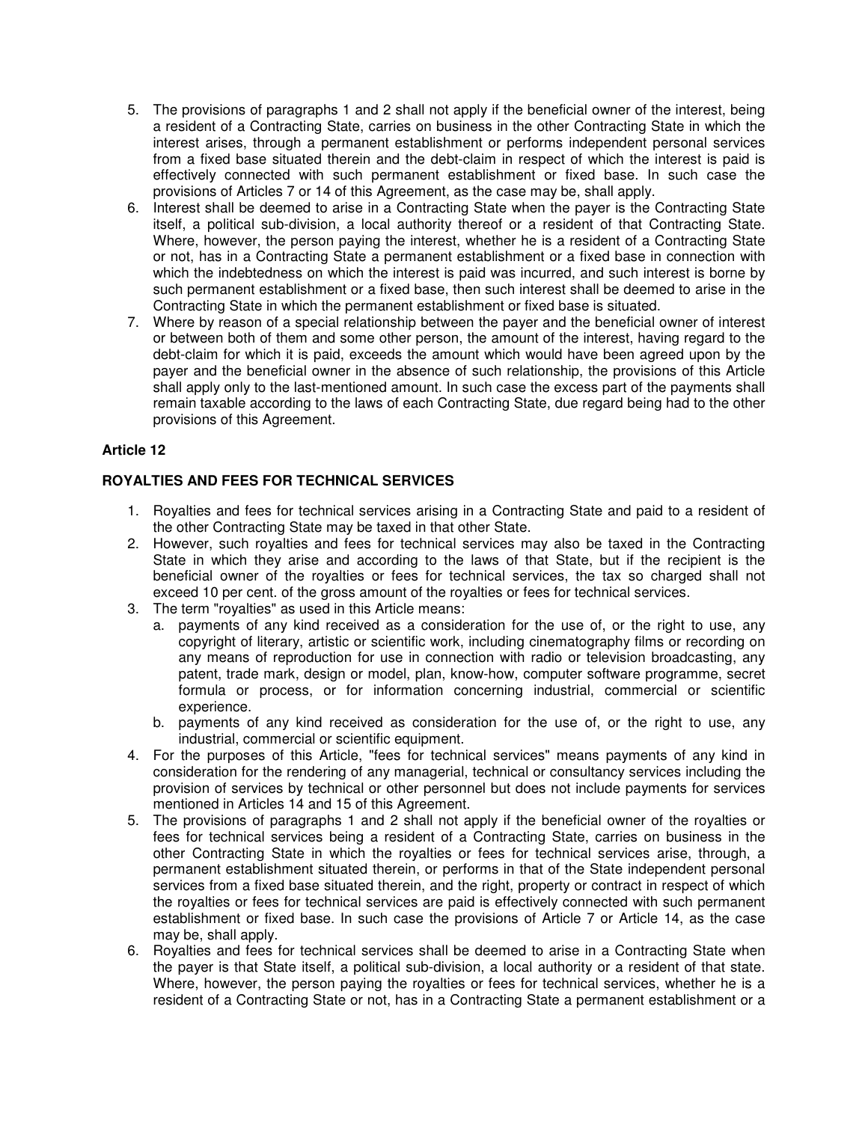- 5. The provisions of paragraphs 1 and 2 shall not apply if the beneficial owner of the interest, being a resident of a Contracting State, carries on business in the other Contracting State in which the interest arises, through a permanent establishment or performs independent personal services from a fixed base situated therein and the debt-claim in respect of which the interest is paid is effectively connected with such permanent establishment or fixed base. In such case the provisions of Articles 7 or 14 of this Agreement, as the case may be, shall apply.
- 6. Interest shall be deemed to arise in a Contracting State when the payer is the Contracting State itself, a political sub-division, a local authority thereof or a resident of that Contracting State. Where, however, the person paying the interest, whether he is a resident of a Contracting State or not, has in a Contracting State a permanent establishment or a fixed base in connection with which the indebtedness on which the interest is paid was incurred, and such interest is borne by such permanent establishment or a fixed base, then such interest shall be deemed to arise in the Contracting State in which the permanent establishment or fixed base is situated.
- 7. Where by reason of a special relationship between the payer and the beneficial owner of interest or between both of them and some other person, the amount of the interest, having regard to the debt-claim for which it is paid, exceeds the amount which would have been agreed upon by the payer and the beneficial owner in the absence of such relationship, the provisions of this Article shall apply only to the last-mentioned amount. In such case the excess part of the payments shall remain taxable according to the laws of each Contracting State, due regard being had to the other provisions of this Agreement.

# **ROYALTIES AND FEES FOR TECHNICAL SERVICES**

- 1. Royalties and fees for technical services arising in a Contracting State and paid to a resident of the other Contracting State may be taxed in that other State.
- 2. However, such royalties and fees for technical services may also be taxed in the Contracting State in which they arise and according to the laws of that State, but if the recipient is the beneficial owner of the royalties or fees for technical services, the tax so charged shall not exceed 10 per cent. of the gross amount of the royalties or fees for technical services.
- 3. The term "royalties" as used in this Article means:
	- a. payments of any kind received as a consideration for the use of, or the right to use, any copyright of literary, artistic or scientific work, including cinematography films or recording on any means of reproduction for use in connection with radio or television broadcasting, any patent, trade mark, design or model, plan, know-how, computer software programme, secret formula or process, or for information concerning industrial, commercial or scientific experience.
	- b. payments of any kind received as consideration for the use of, or the right to use, any industrial, commercial or scientific equipment.
- 4. For the purposes of this Article, "fees for technical services" means payments of any kind in consideration for the rendering of any managerial, technical or consultancy services including the provision of services by technical or other personnel but does not include payments for services mentioned in Articles 14 and 15 of this Agreement.
- 5. The provisions of paragraphs 1 and 2 shall not apply if the beneficial owner of the royalties or fees for technical services being a resident of a Contracting State, carries on business in the other Contracting State in which the royalties or fees for technical services arise, through, a permanent establishment situated therein, or performs in that of the State independent personal services from a fixed base situated therein, and the right, property or contract in respect of which the royalties or fees for technical services are paid is effectively connected with such permanent establishment or fixed base. In such case the provisions of Article 7 or Article 14, as the case may be, shall apply.
- 6. Royalties and fees for technical services shall be deemed to arise in a Contracting State when the payer is that State itself, a political sub-division, a local authority or a resident of that state. Where, however, the person paying the royalties or fees for technical services, whether he is a resident of a Contracting State or not, has in a Contracting State a permanent establishment or a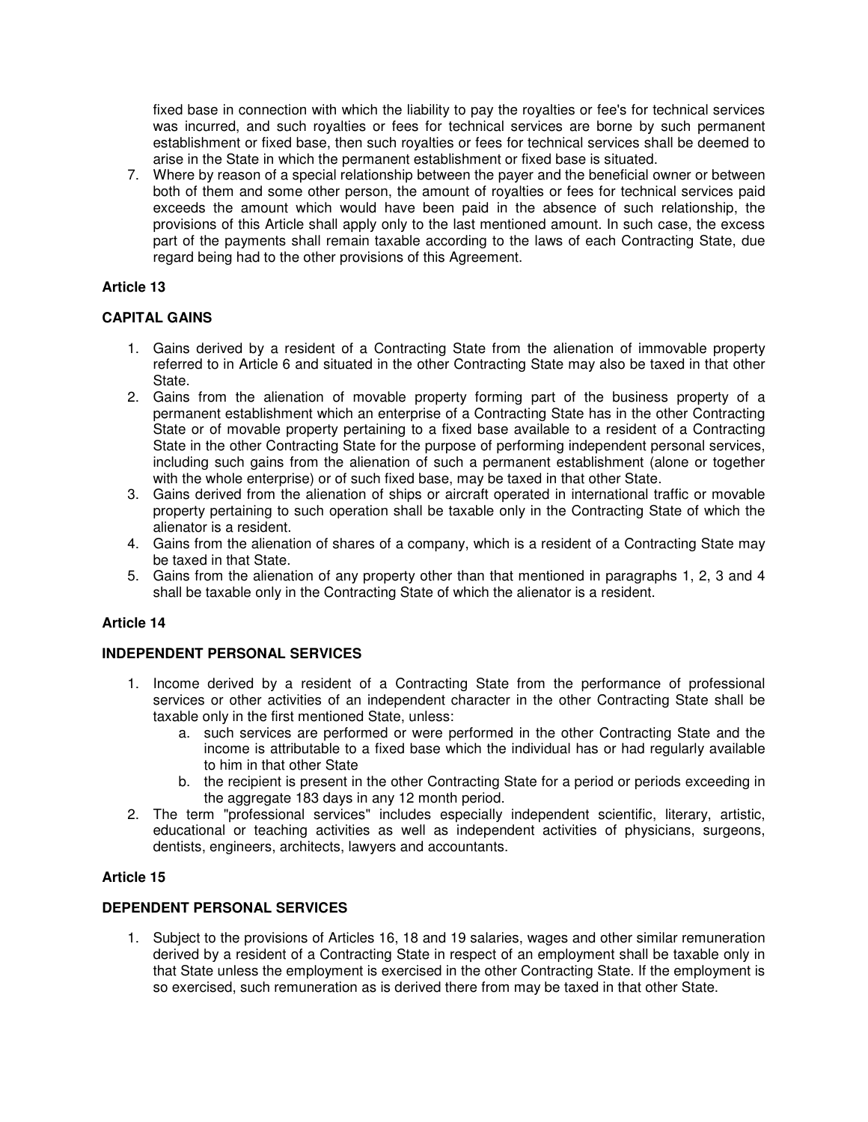fixed base in connection with which the liability to pay the royalties or fee's for technical services was incurred, and such royalties or fees for technical services are borne by such permanent establishment or fixed base, then such royalties or fees for technical services shall be deemed to arise in the State in which the permanent establishment or fixed base is situated.

7. Where by reason of a special relationship between the payer and the beneficial owner or between both of them and some other person, the amount of royalties or fees for technical services paid exceeds the amount which would have been paid in the absence of such relationship, the provisions of this Article shall apply only to the last mentioned amount. In such case, the excess part of the payments shall remain taxable according to the laws of each Contracting State, due regard being had to the other provisions of this Agreement.

# **Article 13**

# **CAPITAL GAINS**

- 1. Gains derived by a resident of a Contracting State from the alienation of immovable property referred to in Article 6 and situated in the other Contracting State may also be taxed in that other State.
- 2. Gains from the alienation of movable property forming part of the business property of a permanent establishment which an enterprise of a Contracting State has in the other Contracting State or of movable property pertaining to a fixed base available to a resident of a Contracting State in the other Contracting State for the purpose of performing independent personal services, including such gains from the alienation of such a permanent establishment (alone or together with the whole enterprise) or of such fixed base, may be taxed in that other State.
- 3. Gains derived from the alienation of ships or aircraft operated in international traffic or movable property pertaining to such operation shall be taxable only in the Contracting State of which the alienator is a resident.
- 4. Gains from the alienation of shares of a company, which is a resident of a Contracting State may be taxed in that State.
- 5. Gains from the alienation of any property other than that mentioned in paragraphs 1, 2, 3 and 4 shall be taxable only in the Contracting State of which the alienator is a resident.

# **Article 14**

# **INDEPENDENT PERSONAL SERVICES**

- 1. Income derived by a resident of a Contracting State from the performance of professional services or other activities of an independent character in the other Contracting State shall be taxable only in the first mentioned State, unless:
	- a. such services are performed or were performed in the other Contracting State and the income is attributable to a fixed base which the individual has or had regularly available to him in that other State
	- b. the recipient is present in the other Contracting State for a period or periods exceeding in the aggregate 183 days in any 12 month period.
- 2. The term "professional services" includes especially independent scientific, literary, artistic, educational or teaching activities as well as independent activities of physicians, surgeons, dentists, engineers, architects, lawyers and accountants.

# **Article 15**

# **DEPENDENT PERSONAL SERVICES**

1. Subject to the provisions of Articles 16, 18 and 19 salaries, wages and other similar remuneration derived by a resident of a Contracting State in respect of an employment shall be taxable only in that State unless the employment is exercised in the other Contracting State. If the employment is so exercised, such remuneration as is derived there from may be taxed in that other State.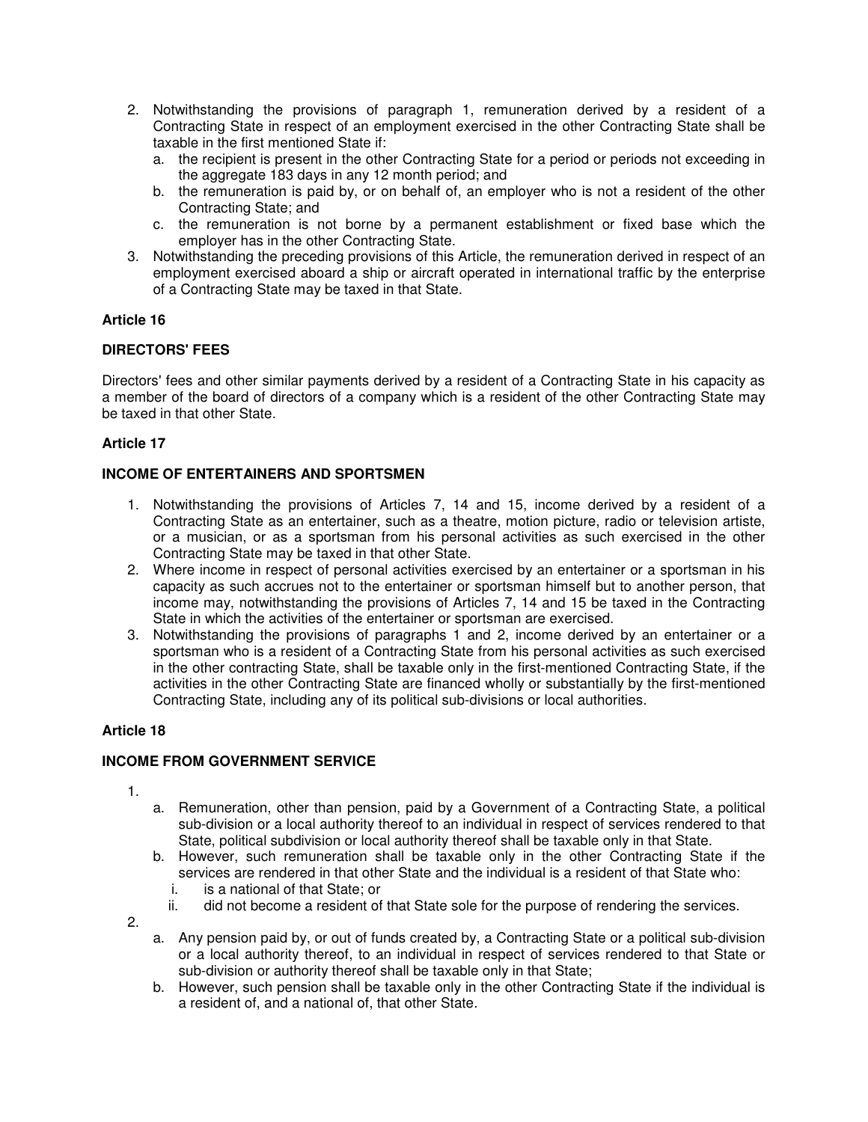- 2. Notwithstanding the provisions of paragraph 1, remuneration derived by a resident of a Contracting State in respect of an employment exercised in the other Contracting State shall be taxable in the first mentioned State if:
	- a. the recipient is present in the other Contracting State for a period or periods not exceeding in the aggregate 183 days in any 12 month period; and
	- b. the remuneration is paid by, or on behalf of, an employer who is not a resident of the other Contracting State; and
	- c. the remuneration is not borne by a permanent establishment or fixed base which the employer has in the other Contracting State.
- 3. Notwithstanding the preceding provisions of this Article, the remuneration derived in respect of an employment exercised aboard a ship or aircraft operated in international traffic by the enterprise of a Contracting State may be taxed in that State.

# **DIRECTORS' FEES**

Directors' fees and other similar payments derived by a resident of a Contracting State in his capacity as a member of the board of directors of a company which is a resident of the other Contracting State may be taxed in that other State.

# **Article 17**

### **INCOME OF ENTERTAINERS AND SPORTSMEN**

- 1. Notwithstanding the provisions of Articles 7, 14 and 15, income derived by a resident of a Contracting State as an entertainer, such as a theatre, motion picture, radio or television artiste, or a musician, or as a sportsman from his personal activities as such exercised in the other Contracting State may be taxed in that other State.
- 2. Where income in respect of personal activities exercised by an entertainer or a sportsman in his capacity as such accrues not to the entertainer or sportsman himself but to another person, that income may, notwithstanding the provisions of Articles 7, 14 and 15 be taxed in the Contracting State in which the activities of the entertainer or sportsman are exercised.
- 3. Notwithstanding the provisions of paragraphs 1 and 2, income derived by an entertainer or a sportsman who is a resident of a Contracting State from his personal activities as such exercised in the other contracting State, shall be taxable only in the first-mentioned Contracting State, if the activities in the other Contracting State are financed wholly or substantially by the first-mentioned Contracting State, including any of its political sub-divisions or local authorities.

### **Article 18**

# **INCOME FROM GOVERNMENT SERVICE**

- 1.
- a. Remuneration, other than pension, paid by a Government of a Contracting State, a political sub-division or a local authority thereof to an individual in respect of services rendered to that State, political subdivision or local authority thereof shall be taxable only in that State.
- b. However, such remuneration shall be taxable only in the other Contracting State if the services are rendered in that other State and the individual is a resident of that State who:<br>i. is a national of that State: or
	- is a national of that State; or
	- ii. did not become a resident of that State sole for the purpose of rendering the services.
- 2.
- a. Any pension paid by, or out of funds created by, a Contracting State or a political sub-division or a local authority thereof, to an individual in respect of services rendered to that State or sub-division or authority thereof shall be taxable only in that State;
- b. However, such pension shall be taxable only in the other Contracting State if the individual is a resident of, and a national of, that other State.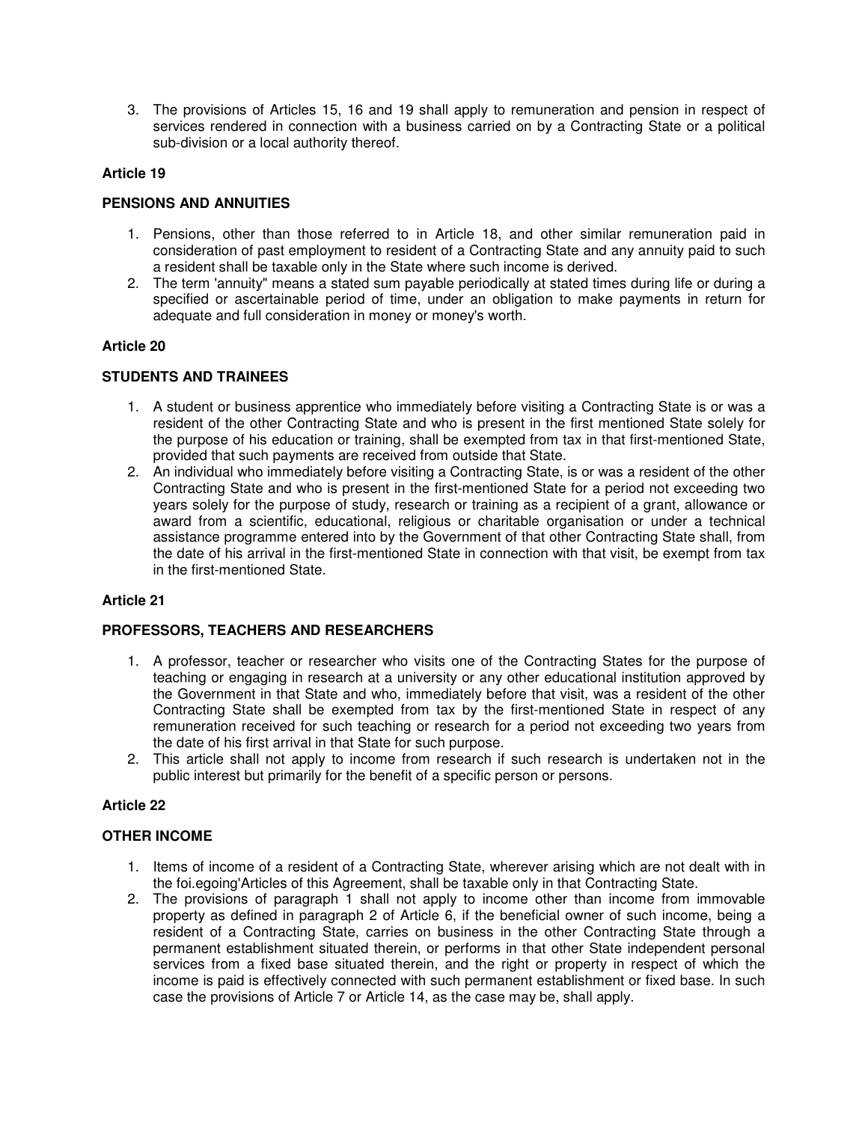3. The provisions of Articles 15, 16 and 19 shall apply to remuneration and pension in respect of services rendered in connection with a business carried on by a Contracting State or a political sub-division or a local authority thereof.

### **Article 19**

### **PENSIONS AND ANNUITIES**

- 1. Pensions, other than those referred to in Article 18, and other similar remuneration paid in consideration of past employment to resident of a Contracting State and any annuity paid to such a resident shall be taxable only in the State where such income is derived.
- 2. The term 'annuity" means a stated sum payable periodically at stated times during life or during a specified or ascertainable period of time, under an obligation to make payments in return for adequate and full consideration in money or money's worth.

### **Article 20**

### **STUDENTS AND TRAINEES**

- 1. A student or business apprentice who immediately before visiting a Contracting State is or was a resident of the other Contracting State and who is present in the first mentioned State solely for the purpose of his education or training, shall be exempted from tax in that first-mentioned State, provided that such payments are received from outside that State.
- 2. An individual who immediately before visiting a Contracting State, is or was a resident of the other Contracting State and who is present in the first-mentioned State for a period not exceeding two years solely for the purpose of study, research or training as a recipient of a grant, allowance or award from a scientific, educational, religious or charitable organisation or under a technical assistance programme entered into by the Government of that other Contracting State shall, from the date of his arrival in the first-mentioned State in connection with that visit, be exempt from tax in the first-mentioned State.

### **Article 21**

# **PROFESSORS, TEACHERS AND RESEARCHERS**

- 1. A professor, teacher or researcher who visits one of the Contracting States for the purpose of teaching or engaging in research at a university or any other educational institution approved by the Government in that State and who, immediately before that visit, was a resident of the other Contracting State shall be exempted from tax by the first-mentioned State in respect of any remuneration received for such teaching or research for a period not exceeding two years from the date of his first arrival in that State for such purpose.
- 2. This article shall not apply to income from research if such research is undertaken not in the public interest but primarily for the benefit of a specific person or persons.

### **Article 22**

### **OTHER INCOME**

- 1. Items of income of a resident of a Contracting State, wherever arising which are not dealt with in the foi.egoing'Articles of this Agreement, shall be taxable only in that Contracting State.
- 2. The provisions of paragraph 1 shall not apply to income other than income from immovable property as defined in paragraph 2 of Article 6, if the beneficial owner of such income, being a resident of a Contracting State, carries on business in the other Contracting State through a permanent establishment situated therein, or performs in that other State independent personal services from a fixed base situated therein, and the right or property in respect of which the income is paid is effectively connected with such permanent establishment or fixed base. In such case the provisions of Article 7 or Article 14, as the case may be, shall apply.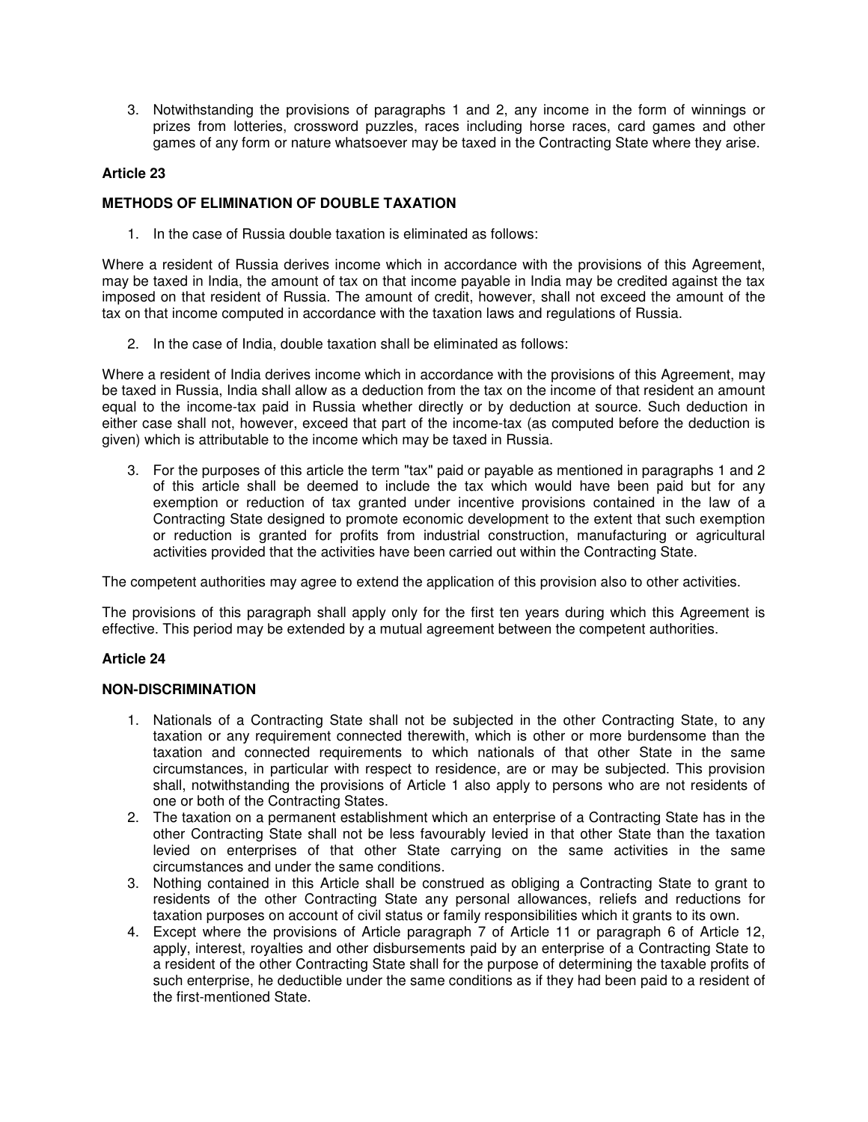3. Notwithstanding the provisions of paragraphs 1 and 2, any income in the form of winnings or prizes from lotteries, crossword puzzles, races including horse races, card games and other games of any form or nature whatsoever may be taxed in the Contracting State where they arise.

### **Article 23**

# **METHODS OF ELIMINATION OF DOUBLE TAXATION**

1. In the case of Russia double taxation is eliminated as follows:

Where a resident of Russia derives income which in accordance with the provisions of this Agreement, may be taxed in India, the amount of tax on that income payable in India may be credited against the tax imposed on that resident of Russia. The amount of credit, however, shall not exceed the amount of the tax on that income computed in accordance with the taxation laws and regulations of Russia.

2. In the case of India, double taxation shall be eliminated as follows:

Where a resident of India derives income which in accordance with the provisions of this Agreement, may be taxed in Russia, India shall allow as a deduction from the tax on the income of that resident an amount equal to the income-tax paid in Russia whether directly or by deduction at source. Such deduction in either case shall not, however, exceed that part of the income-tax (as computed before the deduction is given) which is attributable to the income which may be taxed in Russia.

3. For the purposes of this article the term "tax" paid or payable as mentioned in paragraphs 1 and 2 of this article shall be deemed to include the tax which would have been paid but for any exemption or reduction of tax granted under incentive provisions contained in the law of a Contracting State designed to promote economic development to the extent that such exemption or reduction is granted for profits from industrial construction, manufacturing or agricultural activities provided that the activities have been carried out within the Contracting State.

The competent authorities may agree to extend the application of this provision also to other activities.

The provisions of this paragraph shall apply only for the first ten years during which this Agreement is effective. This period may be extended by a mutual agreement between the competent authorities.

# **Article 24**

# **NON-DISCRIMINATION**

- 1. Nationals of a Contracting State shall not be subjected in the other Contracting State, to any taxation or any requirement connected therewith, which is other or more burdensome than the taxation and connected requirements to which nationals of that other State in the same circumstances, in particular with respect to residence, are or may be subjected. This provision shall, notwithstanding the provisions of Article 1 also apply to persons who are not residents of one or both of the Contracting States.
- 2. The taxation on a permanent establishment which an enterprise of a Contracting State has in the other Contracting State shall not be less favourably levied in that other State than the taxation levied on enterprises of that other State carrying on the same activities in the same circumstances and under the same conditions.
- 3. Nothing contained in this Article shall be construed as obliging a Contracting State to grant to residents of the other Contracting State any personal allowances, reliefs and reductions for taxation purposes on account of civil status or family responsibilities which it grants to its own.
- 4. Except where the provisions of Article paragraph 7 of Article 11 or paragraph 6 of Article 12, apply, interest, royalties and other disbursements paid by an enterprise of a Contracting State to a resident of the other Contracting State shall for the purpose of determining the taxable profits of such enterprise, he deductible under the same conditions as if they had been paid to a resident of the first-mentioned State.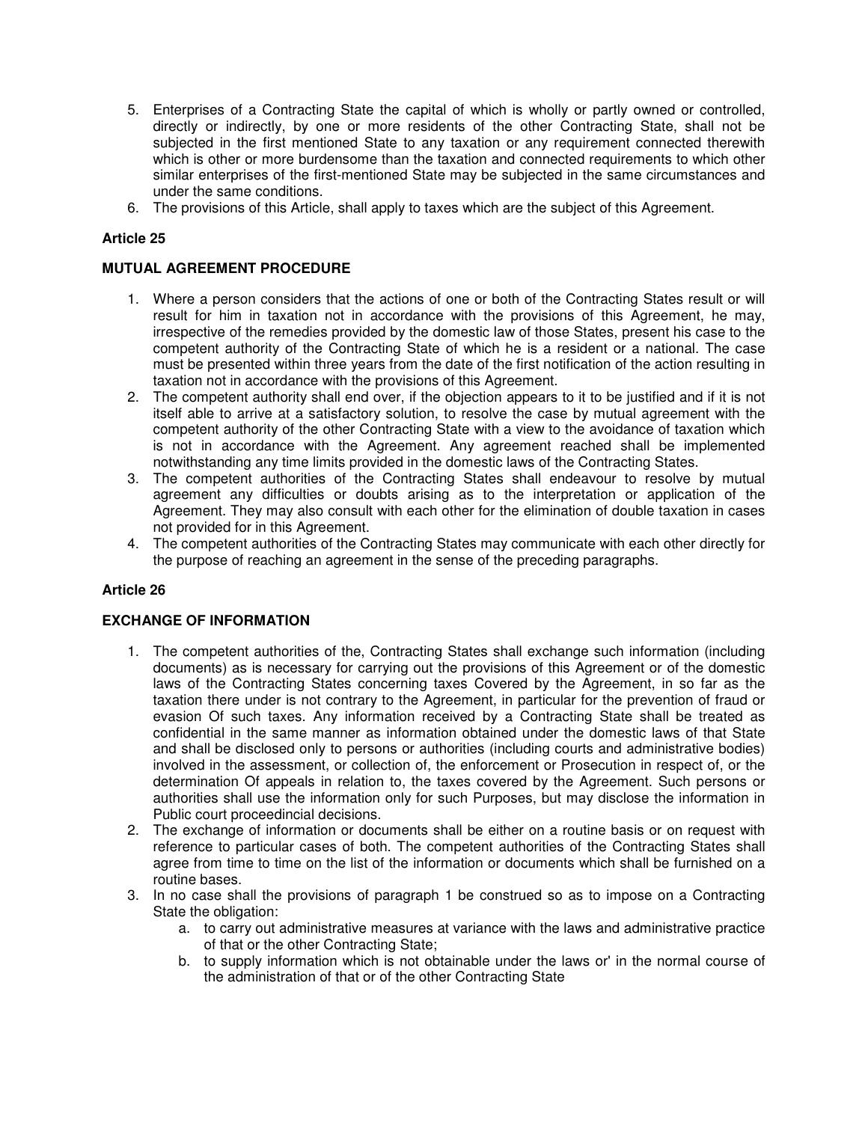- 5. Enterprises of a Contracting State the capital of which is wholly or partly owned or controlled, directly or indirectly, by one or more residents of the other Contracting State, shall not be subjected in the first mentioned State to any taxation or any requirement connected therewith which is other or more burdensome than the taxation and connected requirements to which other similar enterprises of the first-mentioned State may be subjected in the same circumstances and under the same conditions.
- 6. The provisions of this Article, shall apply to taxes which are the subject of this Agreement.

### **MUTUAL AGREEMENT PROCEDURE**

- 1. Where a person considers that the actions of one or both of the Contracting States result or will result for him in taxation not in accordance with the provisions of this Agreement, he may, irrespective of the remedies provided by the domestic law of those States, present his case to the competent authority of the Contracting State of which he is a resident or a national. The case must be presented within three years from the date of the first notification of the action resulting in taxation not in accordance with the provisions of this Agreement.
- 2. The competent authority shall end over, if the objection appears to it to be justified and if it is not itself able to arrive at a satisfactory solution, to resolve the case by mutual agreement with the competent authority of the other Contracting State with a view to the avoidance of taxation which is not in accordance with the Agreement. Any agreement reached shall be implemented notwithstanding any time limits provided in the domestic laws of the Contracting States.
- 3. The competent authorities of the Contracting States shall endeavour to resolve by mutual agreement any difficulties or doubts arising as to the interpretation or application of the Agreement. They may also consult with each other for the elimination of double taxation in cases not provided for in this Agreement.
- 4. The competent authorities of the Contracting States may communicate with each other directly for the purpose of reaching an agreement in the sense of the preceding paragraphs.

### **Article 26**

### **EXCHANGE OF INFORMATION**

- 1. The competent authorities of the, Contracting States shall exchange such information (including documents) as is necessary for carrying out the provisions of this Agreement or of the domestic laws of the Contracting States concerning taxes Covered by the Agreement, in so far as the taxation there under is not contrary to the Agreement, in particular for the prevention of fraud or evasion Of such taxes. Any information received by a Contracting State shall be treated as confidential in the same manner as information obtained under the domestic laws of that State and shall be disclosed only to persons or authorities (including courts and administrative bodies) involved in the assessment, or collection of, the enforcement or Prosecution in respect of, or the determination Of appeals in relation to, the taxes covered by the Agreement. Such persons or authorities shall use the information only for such Purposes, but may disclose the information in Public court proceedincial decisions.
- 2. The exchange of information or documents shall be either on a routine basis or on request with reference to particular cases of both. The competent authorities of the Contracting States shall agree from time to time on the list of the information or documents which shall be furnished on a routine bases.
- 3. In no case shall the provisions of paragraph 1 be construed so as to impose on a Contracting State the obligation:
	- a. to carry out administrative measures at variance with the laws and administrative practice of that or the other Contracting State;
	- b. to supply information which is not obtainable under the laws or' in the normal course of the administration of that or of the other Contracting State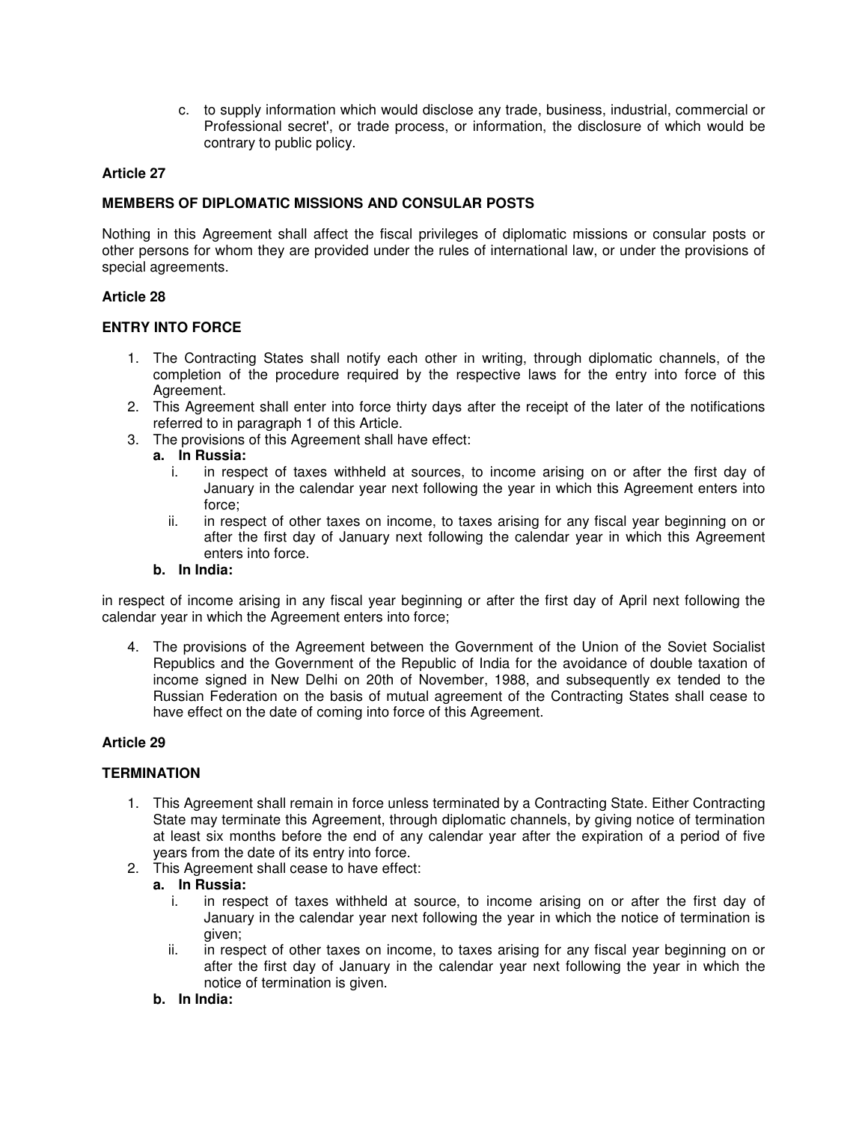c. to supply information which would disclose any trade, business, industrial, commercial or Professional secret', or trade process, or information, the disclosure of which would be contrary to public policy.

# **Article 27**

# **MEMBERS OF DIPLOMATIC MISSIONS AND CONSULAR POSTS**

Nothing in this Agreement shall affect the fiscal privileges of diplomatic missions or consular posts or other persons for whom they are provided under the rules of international law, or under the provisions of special agreements.

### **Article 28**

### **ENTRY INTO FORCE**

- 1. The Contracting States shall notify each other in writing, through diplomatic channels, of the completion of the procedure required by the respective laws for the entry into force of this Agreement.
- 2. This Agreement shall enter into force thirty days after the receipt of the later of the notifications referred to in paragraph 1 of this Article.
- 3. The provisions of this Agreement shall have effect:
	- **a. In Russia:**
		- i. in respect of taxes withheld at sources, to income arising on or after the first day of January in the calendar year next following the year in which this Agreement enters into force;
		- ii. in respect of other taxes on income, to taxes arising for any fiscal year beginning on or after the first day of January next following the calendar year in which this Agreement enters into force.

# **b. In India:**

in respect of income arising in any fiscal year beginning or after the first day of April next following the calendar year in which the Agreement enters into force;

4. The provisions of the Agreement between the Government of the Union of the Soviet Socialist Republics and the Government of the Republic of India for the avoidance of double taxation of income signed in New Delhi on 20th of November, 1988, and subsequently ex tended to the Russian Federation on the basis of mutual agreement of the Contracting States shall cease to have effect on the date of coming into force of this Agreement.

### **Article 29**

### **TERMINATION**

- 1. This Agreement shall remain in force unless terminated by a Contracting State. Either Contracting State may terminate this Agreement, through diplomatic channels, by giving notice of termination at least six months before the end of any calendar year after the expiration of a period of five years from the date of its entry into force.
- 2. This Agreement shall cease to have effect:

### **a. In Russia:**

- i. in respect of taxes withheld at source, to income arising on or after the first day of January in the calendar year next following the year in which the notice of termination is given;
- ii. in respect of other taxes on income, to taxes arising for any fiscal year beginning on or after the first day of January in the calendar year next following the year in which the notice of termination is given.
- **b. In India:**